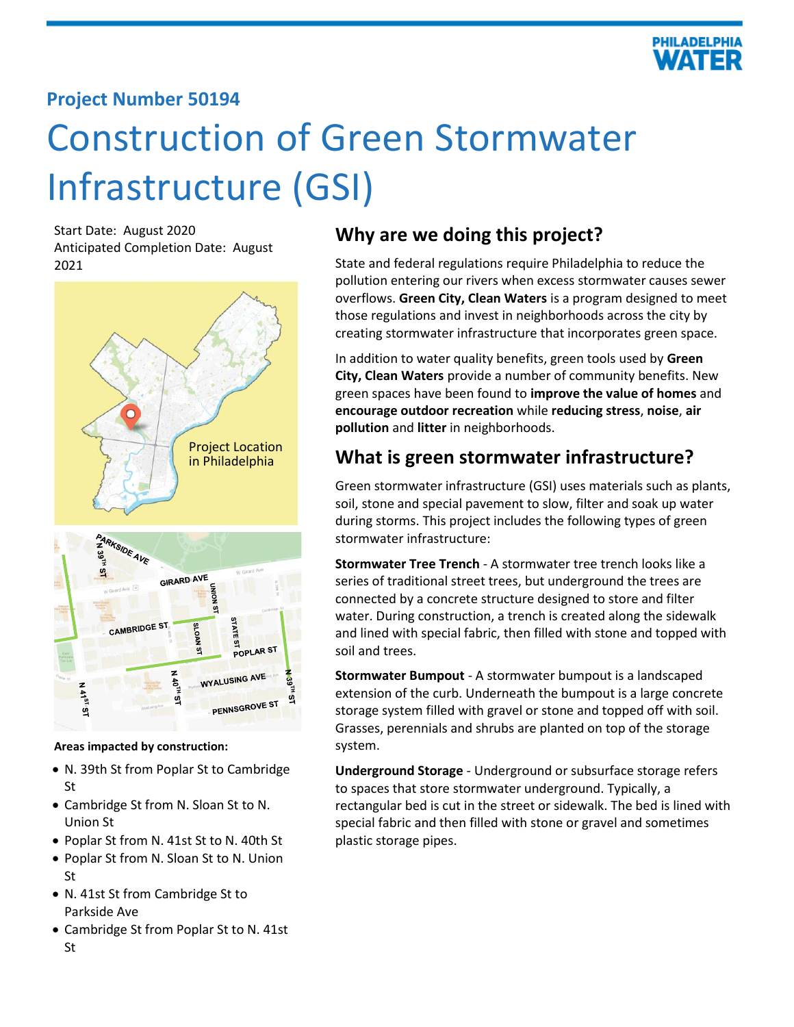

## **Project Number 50194**

# Construction of Green Stormwater Infrastructure (GSI)

Start Date: August 2020 Anticipated Completion Date: August 2021



#### **SLOAN** POPLAR ST  $\overline{a}$ WYALUSING AVE **A 40TH**  $M$ 41<sup>51</sup>51 ğ PENNSGROVE ST

**Areas impacted by construction:**

- N. 39th St from Poplar St to Cambridge St
- Cambridge St from N. Sloan St to N. Union St
- Poplar St from N. 41st St to N. 40th St
- Poplar St from N. Sloan St to N. Union St
- N. 41st St from Cambridge St to Parkside Ave
- Cambridge St from Poplar St to N. 41st St

## **Why are we doing this project?**

State and federal regulations require Philadelphia to reduce the pollution entering our rivers when excess stormwater causes sewer overflows. **Green City, Clean Waters** is a program designed to meet those regulations and invest in neighborhoods across the city by creating stormwater infrastructure that incorporates green space.

In addition to water quality benefits, green tools used by **Green City, Clean Waters** provide a number of community benefits. New green spaces have been found to **improve the value of homes** and **encourage outdoor recreation** while **reducing stress**, **noise**, **air pollution** and **litter** in neighborhoods.

## **What is green stormwater infrastructure?**

Green stormwater infrastructure (GSI) uses materials such as plants, soil, stone and special pavement to slow, filter and soak up water during storms. This project includes the following types of green stormwater infrastructure:

**Stormwater Tree Trench** - A stormwater tree trench looks like a series of traditional street trees, but underground the trees are connected by a concrete structure designed to store and filter water. During construction, a trench is created along the sidewalk and lined with special fabric, then filled with stone and topped with soil and trees.

**Stormwater Bumpout** - A stormwater bumpout is a landscaped extension of the curb. Underneath the bumpout is a large concrete storage system filled with gravel or stone and topped off with soil. Grasses, perennials and shrubs are planted on top of the storage system.

**Underground Storage** - Underground or subsurface storage refers to spaces that store stormwater underground. Typically, a rectangular bed is cut in the street or sidewalk. The bed is lined with special fabric and then filled with stone or gravel and sometimes plastic storage pipes.